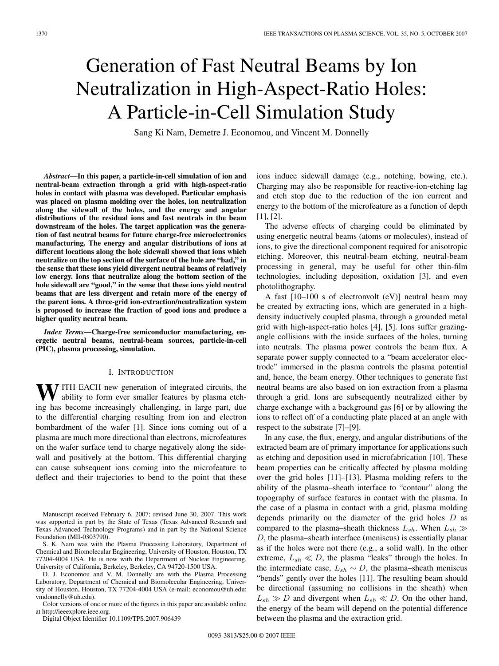# Generation of Fast Neutral Beams by Ion Neutralization in High-Aspect-Ratio Holes: A Particle-in-Cell Simulation Study

Sang Ki Nam, Demetre J. Economou, and Vincent M. Donnelly

*Abstract***—In this paper, a particle-in-cell simulation of ion and neutral-beam extraction through a grid with high-aspect-ratio holes in contact with plasma was developed. Particular emphasis was placed on plasma molding over the holes, ion neutralization along the sidewall of the holes, and the energy and angular distributions of the residual ions and fast neutrals in the beam downstream of the holes. The target application was the generation of fast neutral beams for future charge-free microelectronics manufacturing. The energy and angular distributions of ions at different locations along the hole sidewall showed that ions which neutralize on the top section of the surface of the hole are "bad," in the sense that these ions yield divergent neutral beams of relatively low energy. Ions that neutralize along the bottom section of the hole sidewall are "good," in the sense that these ions yield neutral beams that are less divergent and retain more of the energy of the parent ions. A three-grid ion-extraction/neutralization system is proposed to increase the fraction of good ions and produce a higher quality neutral beam.**

*Index Terms***—Charge-free semiconductor manufacturing, energetic neutral beams, neutral-beam sources, particle-in-cell (PIC), plasma processing, simulation.**

#### I. INTRODUCTION

**WITH EACH** new generation of integrated circuits, the ability to form ever smaller features by plasma etching has become increasingly challenging, in large part, due to the differential charging resulting from ion and electron bombardment of the wafer [1]. Since ions coming out of a plasma are much more directional than electrons, microfeatures on the wafer surface tend to charge negatively along the sidewall and positively at the bottom. This differential charging can cause subsequent ions coming into the microfeature to deflect and their trajectories to bend to the point that these

Manuscript received February 6, 2007; revised June 30, 2007. This work was supported in part by the State of Texas (Texas Advanced Research and Texas Advanced Technology Programs) and in part by the National Science Foundation (MII-0303790).

S. K. Nam was with the Plasma Processing Laboratory, Department of Chemical and Biomolecular Engineering, University of Houston, Houston, TX 77204-4004 USA. He is now with the Department of Nuclear Engineering, University of California, Berkeley, Berkeley, CA 94720-1500 USA.

D. J. Economou and V. M. Donnelly are with the Plasma Processing Laboratory, Department of Chemical and Biomolecular Engineering, University of Houston, Houston, TX 77204-4004 USA (e-mail: economou@uh.edu; vmdonnelly@uh.edu).

Color versions of one or more of the figures in this paper are available online at http://ieeexplore.ieee.org.

Digital Object Identifier 10.1109/TPS.2007.906439

ions induce sidewall damage (e.g., notching, bowing, etc.). Charging may also be responsible for reactive-ion-etching lag and etch stop due to the reduction of the ion current and energy to the bottom of the microfeature as a function of depth [1], [2].

The adverse effects of charging could be eliminated by using energetic neutral beams (atoms or molecules), instead of ions, to give the directional component required for anisotropic etching. Moreover, this neutral-beam etching, neutral-beam processing in general, may be useful for other thin-film technologies, including deposition, oxidation [3], and even photolithography.

A fast  $[10-100 \text{ s of electronvolt (eV)}]$  neutral beam may be created by extracting ions, which are generated in a highdensity inductively coupled plasma, through a grounded metal grid with high-aspect-ratio holes [4], [5]. Ions suffer grazingangle collisions with the inside surfaces of the holes, turning into neutrals. The plasma power controls the beam flux. A separate power supply connected to a "beam accelerator electrode" immersed in the plasma controls the plasma potential and, hence, the beam energy. Other techniques to generate fast neutral beams are also based on ion extraction from a plasma through a grid. Ions are subsequently neutralized either by charge exchange with a background gas [6] or by allowing the ions to reflect off of a conducting plate placed at an angle with respect to the substrate [7]–[9].

In any case, the flux, energy, and angular distributions of the extracted beam are of primary importance for applications such as etching and deposition used in microfabrication [10]. These beam properties can be critically affected by plasma molding over the grid holes [11]–[13]. Plasma molding refers to the ability of the plasma–sheath interface to "contour" along the topography of surface features in contact with the plasma. In the case of a plasma in contact with a grid, plasma molding depends primarily on the diameter of the grid holes D as compared to the plasma–sheath thickness  $L_{sh}$ . When  $L_{sh} \gg$ D, the plasma–sheath interface (meniscus) is essentially planar as if the holes were not there (e.g., a solid wall). In the other extreme,  $L_{sh} \ll D$ , the plasma "leaks" through the holes. In the intermediate case,  $L_{sh} \sim D$ , the plasma–sheath meniscus "bends" gently over the holes [11]. The resulting beam should be directional (assuming no collisions in the sheath) when  $L_{sh} \gg D$  and divergent when  $L_{sh} \ll D$ . On the other hand, the energy of the beam will depend on the potential difference between the plasma and the extraction grid.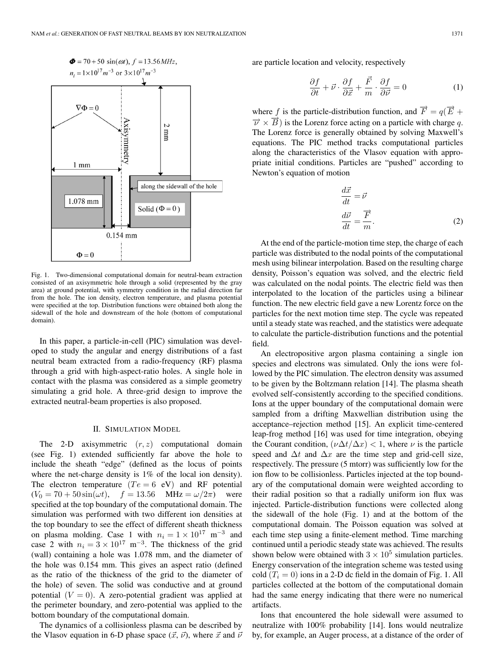

Fig. 1. Two-dimensional computational domain for neutral-beam extraction consisted of an axisymmetric hole through a solid (represented by the gray area) at ground potential, with symmetry condition in the radial direction far from the hole. The ion density, electron temperature, and plasma potential were specified at the top. Distribution functions were obtained both along the sidewall of the hole and downstream of the hole (bottom of computational domain).

In this paper, a particle-in-cell (PIC) simulation was developed to study the angular and energy distributions of a fast neutral beam extracted from a radio-frequency (RF) plasma through a grid with high-aspect-ratio holes. A single hole in contact with the plasma was considered as a simple geometry simulating a grid hole. A three-grid design to improve the extracted neutral-beam properties is also proposed.

#### II. SIMULATION MODEL

The 2-D axisymmetric  $(r, z)$  computational domain (see Fig. 1) extended sufficiently far above the hole to include the sheath "edge" (defined as the locus of points where the net-charge density is 1% of the local ion density). The electron temperature  $(Te = 6 \text{ eV})$  and RF potential  $(V_0 = 70 + 50 \sin(\omega t)),$   $f = 13.56$  MHz =  $\omega/2\pi$ ) were specified at the top boundary of the computational domain. The simulation was performed with two different ion densities at the top boundary to see the effect of different sheath thickness on plasma molding. Case 1 with  $n_i = 1 \times 10^{17}$  m<sup>-3</sup> and case 2 with  $n_i = 3 \times 10^{17}$  m<sup>-3</sup>. The thickness of the grid (wall) containing a hole was 1.078 mm, and the diameter of the hole was 0.154 mm. This gives an aspect ratio (defined as the ratio of the thickness of the grid to the diameter of the hole) of seven. The solid was conductive and at ground potential  $(V = 0)$ . A zero-potential gradient was applied at the perimeter boundary, and zero-potential was applied to the bottom boundary of the computational domain.

The dynamics of a collisionless plasma can be described by the Vlasov equation in 6-D phase space  $(\vec{x}, \vec{v})$ , where  $\vec{x}$  and  $\vec{v}$  are particle location and velocity, respectively

$$
\frac{\partial f}{\partial t} + \vec{\nu} \cdot \frac{\partial f}{\partial \vec{x}} + \frac{\vec{F}}{m} \cdot \frac{\partial f}{\partial \vec{\nu}} = 0 \tag{1}
$$

where f is the particle-distribution function, and  $\vec{F} = q(\vec{E} + \vec{E})$  $\overrightarrow{\nu} \times \overrightarrow{B}$ ) is the Lorenz force acting on a particle with charge q. The Lorenz force is generally obtained by solving Maxwell's equations. The PIC method tracks computational particles along the characteristics of the Vlasov equation with appropriate initial conditions. Particles are "pushed" according to Newton's equation of motion

$$
\frac{d\vec{x}}{dt} = \vec{\nu}
$$
  

$$
\frac{d\vec{\nu}}{dt} = \frac{\vec{F}}{m}.
$$
 (2)

At the end of the particle-motion time step, the charge of each particle was distributed to the nodal points of the computational mesh using bilinear interpolation. Based on the resulting charge density, Poisson's equation was solved, and the electric field was calculated on the nodal points. The electric field was then interpolated to the location of the particles using a bilinear function. The new electric field gave a new Lorentz force on the particles for the next motion time step. The cycle was repeated until a steady state was reached, and the statistics were adequate to calculate the particle-distribution functions and the potential field.

An electropositive argon plasma containing a single ion species and electrons was simulated. Only the ions were followed by the PIC simulation. The electron density was assumed to be given by the Boltzmann relation [14]. The plasma sheath evolved self-consistently according to the specified conditions. Ions at the upper boundary of the computational domain were sampled from a drifting Maxwellian distribution using the acceptance–rejection method [15]. An explicit time-centered leap-frog method [16] was used for time integration, obeying the Courant condition,  $(\nu \Delta t / \Delta x) < 1$ , where  $\nu$  is the particle speed and  $\Delta t$  and  $\Delta x$  are the time step and grid-cell size, respectively. The pressure (5 mtorr) was sufficiently low for the ion flow to be collisionless. Particles injected at the top boundary of the computational domain were weighted according to their radial position so that a radially uniform ion flux was injected. Particle-distribution functions were collected along the sidewall of the hole (Fig. 1) and at the bottom of the computational domain. The Poisson equation was solved at each time step using a finite-element method. Time marching continued until a periodic steady state was achieved. The results shown below were obtained with  $3 \times 10^5$  simulation particles. Energy conservation of the integration scheme was tested using cold  $(T<sub>i</sub> = 0)$  ions in a 2-D dc field in the domain of Fig. 1. All particles collected at the bottom of the computational domain had the same energy indicating that there were no numerical artifacts.

Ions that encountered the hole sidewall were assumed to neutralize with 100% probability [14]. Ions would neutralize by, for example, an Auger process, at a distance of the order of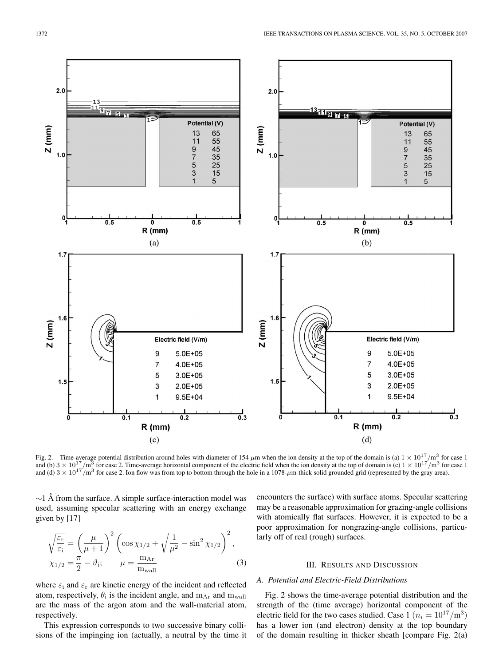

Fig. 2. Time-average potential distribution around holes with diameter of 154  $\mu$ m when the ion density at the top of the domain is (a)  $1 \times 10^{17}/m^3$  for case 1 and (b)  $3 \times 10^{17}$ /m<sup>3</sup> for case 2. Time-average horizontal component of the electric field when the ion density at the top of domain is (c)  $1 \times 10^{17}$ /m<sup>3</sup> for case 1 and (d)  $3 \times 10^{17}/m^3$  for case 2. Ion flow was from top to bottom through the hole in a 1078- $\mu$ m-thick solid grounded grid (represented by the gray area).

 $\sim$ 1 Å from the surface. A simple surface-interaction model was used, assuming specular scattering with an energy exchange given by [17]

$$
\sqrt{\frac{\varepsilon_{\rm r}}{\varepsilon_{\rm i}}} = \left(\frac{\mu}{\mu + 1}\right)^2 \left(\cos \chi_{1/2} + \sqrt{\frac{1}{\mu^2} - \sin^2 \chi_{1/2}}\right)^2,
$$
  

$$
\chi_{1/2} = \frac{\pi}{2} - \vartheta_{\rm i}; \qquad \mu = \frac{\mathrm{m}_{\rm Ar}}{\mathrm{m}_{\rm wall}} \tag{3}
$$

where  $\varepsilon$ <sub>i</sub> and  $\varepsilon$ <sub>r</sub> are kinetic energy of the incident and reflected atom, respectively,  $\theta_i$  is the incident angle, and  $m_{Ar}$  and  $m_{wall}$ are the mass of the argon atom and the wall-material atom, respectively.

This expression corresponds to two successive binary collisions of the impinging ion (actually, a neutral by the time it encounters the surface) with surface atoms. Specular scattering may be a reasonable approximation for grazing-angle collisions with atomically flat surfaces. However, it is expected to be a poor approximation for nongrazing-angle collisions, particularly off of real (rough) surfaces.

## III. RESULTS AND DISCUSSION

## *A. Potential and Electric-Field Distributions*

Fig. 2 shows the time-average potential distribution and the strength of the (time average) horizontal component of the electric field for the two cases studied. Case 1 ( $n_i = 10^{17}/m^3$ ) has a lower ion (and electron) density at the top boundary of the domain resulting in thicker sheath [compare Fig. 2(a)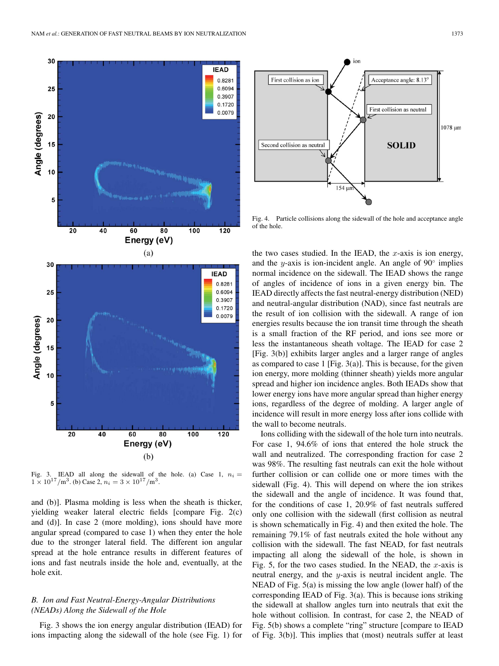

Fig. 3. IEAD all along the sidewall of the hole. (a) Case 1,  $n_i =$  $1 \times 10^{17}$ /m<sup>3</sup>. (b) Case 2,  $n_i = 3 \times 10^{17}$ /m<sup>3</sup>.

and (b)]. Plasma molding is less when the sheath is thicker, yielding weaker lateral electric fields [compare Fig. 2(c) and (d)]. In case 2 (more molding), ions should have more angular spread (compared to case 1) when they enter the hole due to the stronger lateral field. The different ion angular spread at the hole entrance results in different features of ions and fast neutrals inside the hole and, eventually, at the hole exit.

## *B. Ion and Fast Neutral-Energy-Angular Distributions (NEADs) Along the Sidewall of the Hole*

Fig. 3 shows the ion energy angular distribution (IEAD) for ions impacting along the sidewall of the hole (see Fig. 1) for



Fig. 4. Particle collisions along the sidewall of the hole and acceptance angle of the hole.

the two cases studied. In the IEAD, the  $x$ -axis is ion energy, and the y-axis is ion-incident angle. An angle of  $90^\circ$  implies normal incidence on the sidewall. The IEAD shows the range of angles of incidence of ions in a given energy bin. The IEAD directly affects the fast neutral-energy distribution (NED) and neutral-angular distribution (NAD), since fast neutrals are the result of ion collision with the sidewall. A range of ion energies results because the ion transit time through the sheath is a small fraction of the RF period, and ions see more or less the instantaneous sheath voltage. The IEAD for case 2 [Fig. 3(b)] exhibits larger angles and a larger range of angles as compared to case 1 [Fig. 3(a)]. This is because, for the given ion energy, more molding (thinner sheath) yields more angular spread and higher ion incidence angles. Both IEADs show that lower energy ions have more angular spread than higher energy ions, regardless of the degree of molding. A larger angle of incidence will result in more energy loss after ions collide with the wall to become neutrals.

Ions colliding with the sidewall of the hole turn into neutrals. For case 1, 94.6% of ions that entered the hole struck the wall and neutralized. The corresponding fraction for case 2 was 98%. The resulting fast neutrals can exit the hole without further collision or can collide one or more times with the sidewall (Fig. 4). This will depend on where the ion strikes the sidewall and the angle of incidence. It was found that, for the conditions of case 1, 20.9% of fast neutrals suffered only one collision with the sidewall (first collision as neutral is shown schematically in Fig. 4) and then exited the hole. The remaining 79.1% of fast neutrals exited the hole without any collision with the sidewall. The fast NEAD, for fast neutrals impacting all along the sidewall of the hole, is shown in Fig. 5, for the two cases studied. In the NEAD, the  $x$ -axis is neutral energy, and the y-axis is neutral incident angle. The NEAD of Fig. 5(a) is missing the low angle (lower half) of the corresponding IEAD of Fig. 3(a). This is because ions striking the sidewall at shallow angles turn into neutrals that exit the hole without collision. In contrast, for case 2, the NEAD of Fig. 5(b) shows a complete "ring" structure [compare to IEAD of Fig. 3(b)]. This implies that (most) neutrals suffer at least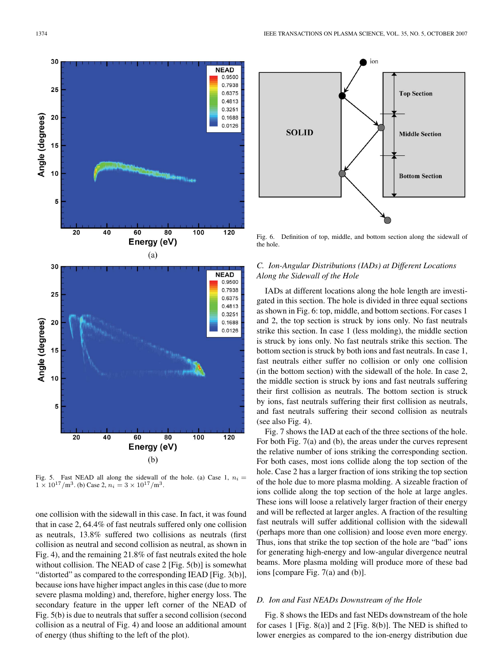

Fig. 5. Fast NEAD all along the sidewall of the hole. (a) Case 1,  $n_i =$  $1 \times 10^{17}$ /m<sup>3</sup>. (b) Case 2,  $n_i = 3 \times 10^{17}$ /m<sup>3</sup>.

one collision with the sidewall in this case. In fact, it was found that in case 2, 64.4% of fast neutrals suffered only one collision as neutrals, 13.8% suffered two collisions as neutrals (first collision as neutral and second collision as neutral, as shown in Fig. 4), and the remaining 21.8% of fast neutrals exited the hole without collision. The NEAD of case 2 [Fig. 5(b)] is somewhat "distorted" as compared to the corresponding IEAD [Fig. 3(b)], because ions have higher impact angles in this case (due to more severe plasma molding) and, therefore, higher energy loss. The secondary feature in the upper left corner of the NEAD of Fig. 5(b) is due to neutrals that suffer a second collision (second collision as a neutral of Fig. 4) and loose an additional amount of energy (thus shifting to the left of the plot).



Fig. 6. Definition of top, middle, and bottom section along the sidewall of the hole.

## *C. Ion-Angular Distributions (IADs) at Different Locations Along the Sidewall of the Hole*

IADs at different locations along the hole length are investigated in this section. The hole is divided in three equal sections as shown in Fig. 6: top, middle, and bottom sections. For cases 1 and 2, the top section is struck by ions only. No fast neutrals strike this section. In case 1 (less molding), the middle section is struck by ions only. No fast neutrals strike this section. The bottom section is struck by both ions and fast neutrals. In case 1, fast neutrals either suffer no collision or only one collision (in the bottom section) with the sidewall of the hole. In case 2, the middle section is struck by ions and fast neutrals suffering their first collision as neutrals. The bottom section is struck by ions, fast neutrals suffering their first collision as neutrals, and fast neutrals suffering their second collision as neutrals (see also Fig. 4).

Fig. 7 shows the IAD at each of the three sections of the hole. For both Fig. 7(a) and (b), the areas under the curves represent the relative number of ions striking the corresponding section. For both cases, most ions collide along the top section of the hole. Case 2 has a larger fraction of ions striking the top section of the hole due to more plasma molding. A sizeable fraction of ions collide along the top section of the hole at large angles. These ions will loose a relatively larger fraction of their energy and will be reflected at larger angles. A fraction of the resulting fast neutrals will suffer additional collision with the sidewall (perhaps more than one collision) and loose even more energy. Thus, ions that strike the top section of the hole are "bad" ions for generating high-energy and low-angular divergence neutral beams. More plasma molding will produce more of these bad ions [compare Fig. 7(a) and (b)].

## *D. Ion and Fast NEADs Downstream of the Hole*

Fig. 8 shows the IEDs and fast NEDs downstream of the hole for cases 1 [Fig. 8(a)] and 2 [Fig. 8(b)]. The NED is shifted to lower energies as compared to the ion-energy distribution due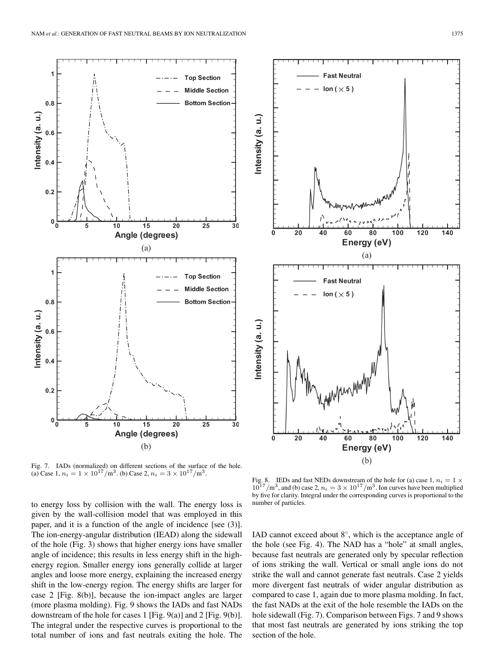



Fig. 7. IADs (normalized) on different sections of the surface of the hole. (a) Case 1,  $n_i = 1 \times 10^{17} / \text{m}^3$ . (b) Case 2,  $n_i = 3 \times 10^{17} / \text{m}^3$ .

to energy loss by collision with the wall. The energy loss is given by the wall-collision model that was employed in this paper, and it is a function of the angle of incidence [see (3)]. The ion-energy-angular distribution (IEAD) along the sidewall of the hole (Fig. 3) shows that higher energy ions have smaller angle of incidence; this results in less energy shift in the highenergy region. Smaller energy ions generally collide at larger angles and loose more energy, explaining the increased energy shift in the low-energy region. The energy shifts are larger for case 2 [Fig. 8(b)], because the ion-impact angles are larger (more plasma molding). Fig. 9 shows the IADs and fast NADs downstream of the hole for cases 1 [Fig. 9(a)] and 2 [Fig. 9(b)]. The integral under the respective curves is proportional to the total number of ions and fast neutrals exiting the hole. The

Fig. 8. IEDs and fast NEDs downstream of the hole for (a) case 1,  $n_i = 1 \times 10^{17} / \text{m}^3$ , and (b) case 2,  $n_i = 3 \times 10^{17} / \text{m}^3$ . Ion curves have been multiplied by five for clarity. Integral under the corresponding curves is proportional to the number of particles.

IAD cannot exceed about  $8^\circ$ , which is the acceptance angle of the hole (see Fig. 4). The NAD has a "hole" at small angles, because fast neutrals are generated only by specular reflection of ions striking the wall. Vertical or small angle ions do not strike the wall and cannot generate fast neutrals. Case 2 yields more divergent fast neutrals of wider angular distribution as compared to case 1, again due to more plasma molding. In fact, the fast NADs at the exit of the hole resemble the IADs on the hole sidewall (Fig. 7). Comparison between Figs. 7 and 9 shows that most fast neutrals are generated by ions striking the top section of the hole.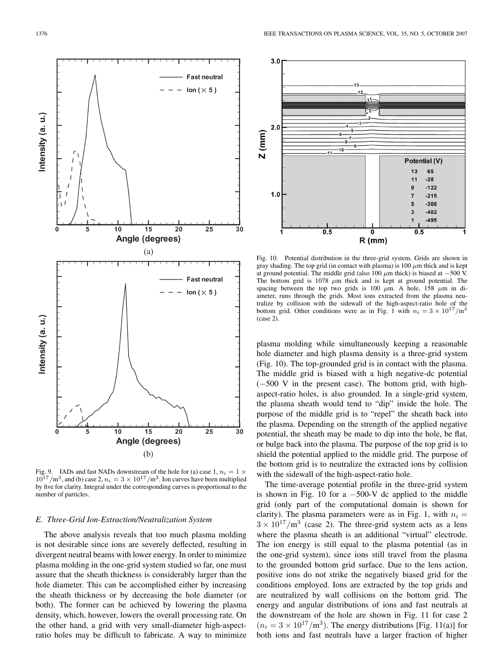![](_page_6_Figure_1.jpeg)

![](_page_6_Figure_3.jpeg)

Fig. 10. Potential distribution in the three-grid system. Grids are shown in gray shading. The top grid (in contact with plasma) is 100  $\mu$ m thick and is kept at ground potential. The middle grid (also 100  $\mu$ m thick) is biased at −500 V. The bottom grid is 1078  $\mu$ m thick and is kept at ground potential. The spacing between the top two grids is 100  $\mu$ m. A hole, 158  $\mu$ m in diameter, runs through the grids. Most ions extracted from the plasma neutralize by collision with the sidewall of the high-aspect-ratio hole of the bottom grid. Other conditions were as in Fig. 1 with  $n_i = 3 \times 10^{17} / \text{m}^3$ (case 2).

plasma molding while simultaneously keeping a reasonable hole diameter and high plasma density is a three-grid system (Fig. 10). The top-grounded grid is in contact with the plasma. The middle grid is biased with a high negative-dc potential (−500 V in the present case). The bottom grid, with highaspect-ratio holes, is also grounded. In a single-grid system, the plasma sheath would tend to "dip" inside the hole. The purpose of the middle grid is to "repel" the sheath back into the plasma. Depending on the strength of the applied negative potential, the sheath may be made to dip into the hole, be flat, or bulge back into the plasma. The purpose of the top grid is to shield the potential applied to the middle grid. The purpose of the bottom grid is to neutralize the extracted ions by collision with the sidewall of the high-aspect-ratio hole.

The time-average potential profile in the three-grid system is shown in Fig. 10 for a  $-500$ -V dc applied to the middle grid (only part of the computational domain is shown for clarity). The plasma parameters were as in Fig. 1, with  $n_i =$  $3 \times 10^{17}$ /m<sup>3</sup> (case 2). The three-grid system acts as a lens where the plasma sheath is an additional "virtual" electrode. The ion energy is still equal to the plasma potential (as in the one-grid system), since ions still travel from the plasma to the grounded bottom grid surface. Due to the lens action, positive ions do not strike the negatively biased grid for the conditions employed. Ions are extracted by the top grids and are neutralized by wall collisions on the bottom grid. The energy and angular distributions of ions and fast neutrals at the downstream of the hole are shown in Fig. 11 for case 2  $(n_i = 3 \times 10^{17} / \text{m}^3)$ . The energy distributions [Fig. 11(a)] for both ions and fast neutrals have a larger fraction of higher

Fig. 9. IADs and fast NADs downstream of the hole for (a) case 1,  $n_i = 1 \times$  $10^{17}/\text{m}^3$ , and (b) case 2,  $n_i = 3 \times 10^{17}/\text{m}^3$ . Ion curves have been multiplied by five for clarity. Integral under the corresponding curves is proportional to the number of particles.

## *E. Three-Grid Ion-Extraction/Neutralization System*

The above analysis reveals that too much plasma molding is not desirable since ions are severely deflected, resulting in divergent neutral beams with lower energy. In order to minimize plasma molding in the one-grid system studied so far, one must assure that the sheath thickness is considerably larger than the hole diameter. This can be accomplished either by increasing the sheath thickness or by decreasing the hole diameter (or both). The former can be achieved by lowering the plasma density, which, however, lowers the overall processing rate. On the other hand, a grid with very small-diameter high-aspectratio holes may be difficult to fabricate. A way to minimize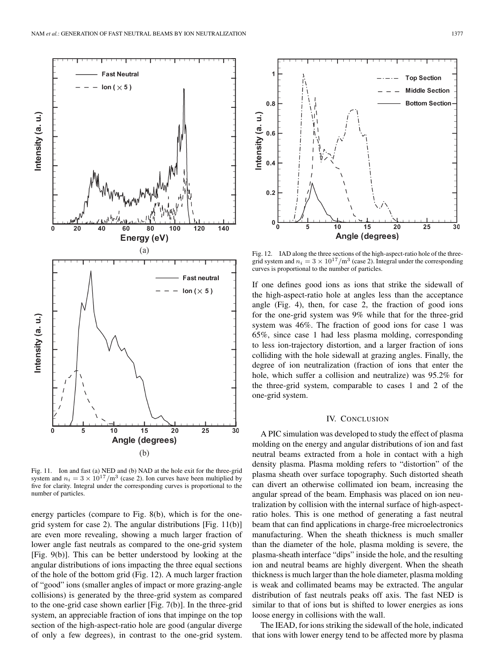![](_page_7_Figure_1.jpeg)

Fig. 11. Ion and fast (a) NED and (b) NAD at the hole exit for the three-grid system and  $n_i = 3 \times 10^{17} / \text{m}^3$  (case 2). Ion curves have been multiplied by five for clarity. Integral under the corresponding curves is proportional to the number of particles.

energy particles (compare to Fig. 8(b), which is for the onegrid system for case 2). The angular distributions [Fig. 11(b)] are even more revealing, showing a much larger fraction of lower angle fast neutrals as compared to the one-grid system [Fig. 9(b)]. This can be better understood by looking at the angular distributions of ions impacting the three equal sections of the hole of the bottom grid (Fig. 12). A much larger fraction of "good" ions (smaller angles of impact or more grazing-angle collisions) is generated by the three-grid system as compared to the one-grid case shown earlier [Fig. 7(b)]. In the three-grid system, an appreciable fraction of ions that impinge on the top section of the high-aspect-ratio hole are good (angular diverge of only a few degrees), in contrast to the one-grid system.

![](_page_7_Figure_4.jpeg)

Fig. 12. IAD along the three sections of the high-aspect-ratio hole of the three-<br>grid system and  $n_i = 3 \times 10^{17}/\text{m}^3$  (case 2). Integral under the corresponding curves is proportional to the number of particles.

If one defines good ions as ions that strike the sidewall of the high-aspect-ratio hole at angles less than the acceptance angle (Fig. 4), then, for case 2, the fraction of good ions for the one-grid system was 9% while that for the three-grid system was 46%. The fraction of good ions for case 1 was 65%, since case 1 had less plasma molding, corresponding to less ion-trajectory distortion, and a larger fraction of ions colliding with the hole sidewall at grazing angles. Finally, the degree of ion neutralization (fraction of ions that enter the hole, which suffer a collision and neutralize) was 95.2% for the three-grid system, comparable to cases 1 and 2 of the one-grid system.

#### IV. CONCLUSION

A PIC simulation was developed to study the effect of plasma molding on the energy and angular distributions of ion and fast neutral beams extracted from a hole in contact with a high density plasma. Plasma molding refers to "distortion" of the plasma sheath over surface topography. Such distorted sheath can divert an otherwise collimated ion beam, increasing the angular spread of the beam. Emphasis was placed on ion neutralization by collision with the internal surface of high-aspectratio holes. This is one method of generating a fast neutral beam that can find applications in charge-free microelectronics manufacturing. When the sheath thickness is much smaller than the diameter of the hole, plasma molding is severe, the plasma-sheath interface "dips" inside the hole, and the resulting ion and neutral beams are highly divergent. When the sheath thickness is much larger than the hole diameter, plasma molding is weak and collimated beams may be extracted. The angular distribution of fast neutrals peaks off axis. The fast NED is similar to that of ions but is shifted to lower energies as ions loose energy in collisions with the wall.

The IEAD, for ions striking the sidewall of the hole, indicated that ions with lower energy tend to be affected more by plasma